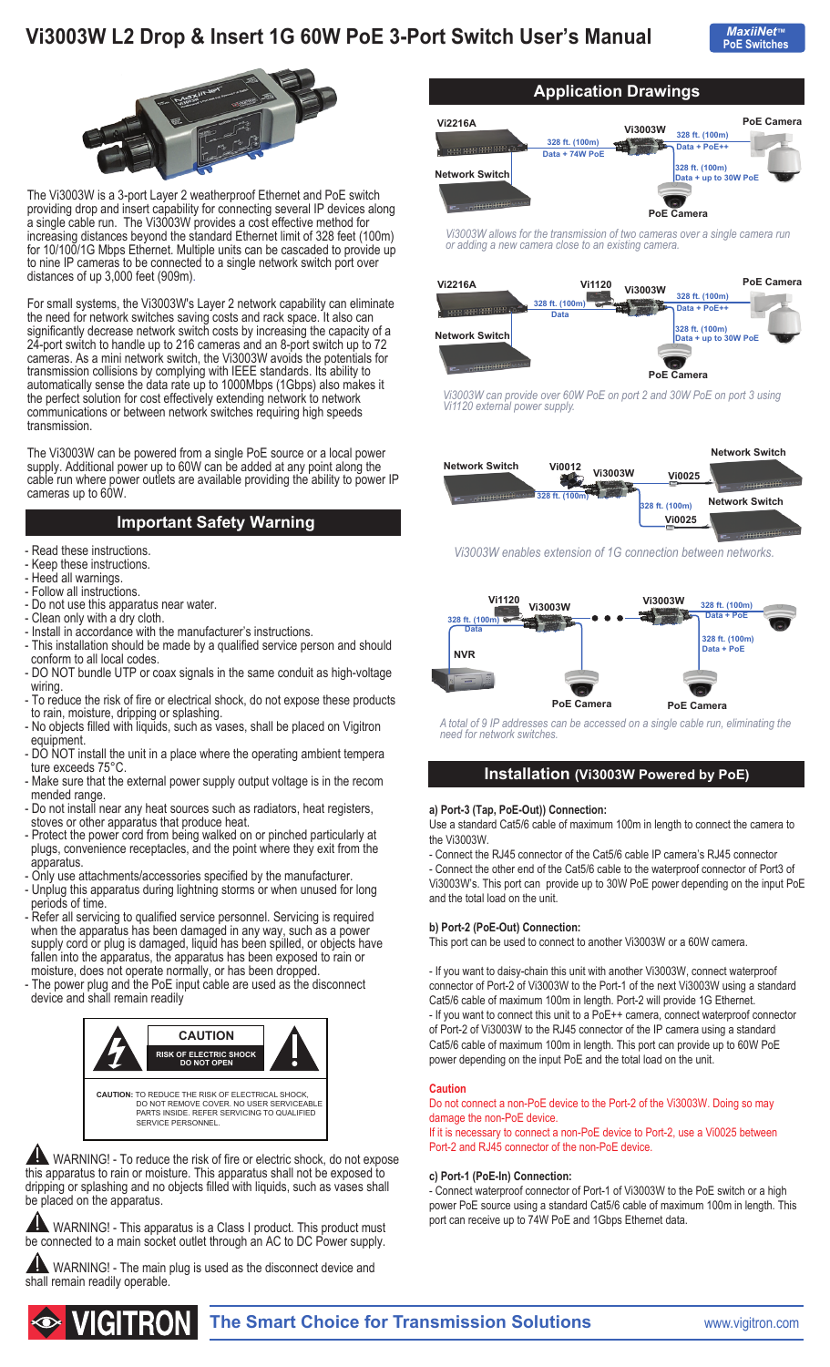# **Vi3003W L2 Drop & Insert 1G 60W PoE 3-Port Switch User's Manual**





The Vi3003W is a 3-port Layer 2 weatherproof Ethernet and PoE switch providing drop and insert capability for connecting several IP devices along a single cable run. The Vi3003W provides a cost effective method for increasing distances beyond the standard Ethernet limit of 328 feet (100m) for 10/100/1G Mbps Ethernet. Multiple units can be cascaded to provide up to nine IP cameras to be connected to a single network switch port over distances of up 3,000 feet (909m).

For small systems, the Vi3003W's Layer 2 network capability can eliminate the need for network switches saving costs and rack space. It also can significantly decrease network switch costs by increasing the capacity of a 24-port switch to handle up to 216 cameras and an 8-port switch up to 72 cameras. As a mini network switch, the Vi3003W avoids the potentials for transmission collisions by complying with IEEE standards. Its ability to automatically sense the data rate up to 1000Mbps (1Gbps) also makes it the perfect solution for cost effectively extending network to network communications or between network switches requiring high speeds transmission.

The Vi3003W can be powered from a single PoE source or a local power supply. Additional power up to 60W can be added at any point along the cable run where power outlets are available providing the ability to power IP cameras up to 60W.

# **Important Safety Warning**

- Read these instructions.
- Keep these instructions.
- Heed all warnings.
- Follow all instructions.
- Do not use this apparatus near water.
- Clean only with a dry cloth.
- Install in accordance with the manufacturer's instructions.
- This installation should be made by a qualified service person and should conform to all local codes.
- DO NOT bundle UTP or coax signals in the same conduit as high-voltage wiring
- To reduce the risk of fire or electrical shock, do not expose these products to rain, moisture, dripping or splashing.
- No objects filled with liquids, such as vases, shall be placed on Vigitron equipment.
- DO NOT install the unit in a place where the operating ambient tempera ture exceeds 75°C.
- Make sure that the external power supply output voltage is in the recom mended range.
- Do not install near any heat sources such as radiators, heat registers, stoves or other apparatus that produce heat.
- Protect the power cord from being walked on or pinched particularly at plugs, convenience receptacles, and the point where they exit from the apparatus.
- Only use attachments/accessories specified by the manufacturer.
- Unplug this apparatus during lightning storms or when unused for long periods of time.
- Refer all servicing to qualified service personnel. Servicing is required when the apparatus has been damaged in any way, such as a power supply cord or plug is damaged, liquid has been spilled, or objects have fallen into the apparatus, the apparatus has been exposed to rain or moisture, does not operate normally, or has been dropped.
- The power plug and the PoE input cable are used as the disconnect device and shall remain readily



WARNING! - To reduce the risk of fire or electric shock, do not expose this apparatus to rain or moisture. This apparatus shall not be exposed to dripping or splashing and no objects filled with liquids, such as vases shall be placed on the apparatus.

 WARNING! - This apparatus is a Class I product. This product must be connected to a main socket outlet through an AC to DC Power supply.

WARNING! - The main plug is used as the disconnect device and shall remain readily operable.



*Vi3003W allows for the transmission of two cameras over a single camera run or adding a new camera close to an existing camera.* 

| <b>Vi2216A</b>        | <b>Vi1120</b><br>328 ft. (100m)<br><b>Data</b> | <b>Vi3003W</b> | 328 ft. (100m)<br>Data + PoE++                              | <b>PoE Camera</b> |
|-----------------------|------------------------------------------------|----------------|-------------------------------------------------------------|-------------------|
| <b>Network Switch</b> |                                                |                | 328 ft. (100m)<br>Data + up to 30W PoE<br><b>PoE Camera</b> |                   |

*Vi3003W can provide over 60W PoE on port 2 and 30W PoE on port 3 using Vi1120 external power supply.*



*Vi3003W enables extension of 1G connection between networks.* 



*A total of 9 IP addresses can be accessed on a single cable run, eliminating the need for network switches.*

## **Installation (Vi3003W Powered by PoE)**

#### **a) Port-3 (Tap, PoE-Out)) Connection:**

Use a standard Cat5/6 cable of maximum 100m in length to connect the camera to the Vi3003W.

- Connect the RJ45 connector of the Cat5/6 cable IP camera's RJ45 connector - Connect the other end of the Cat5/6 cable to the waterproof connector of Port3 of Vi3003W's. This port can provide up to 30W PoE power depending on the input PoE and the total load on the unit.

### **b) Port-2 (PoE-Out) Connection:**

This port can be used to connect to another Vi3003W or a 60W camera.

- If you want to daisy-chain this unit with another Vi3003W, connect waterproof connector of Port-2 of Vi3003W to the Port-1 of the next Vi3003W using a standard Cat5/6 cable of maximum 100m in length. Port-2 will provide 1G Ethernet. - If you want to connect this unit to a PoE++ camera, connect waterproof connector of Port-2 of Vi3003W to the RJ45 connector of the IP camera using a standard Cat5/6 cable of maximum 100m in length. This port can provide up to 60W PoE

power depending on the input PoE and the total load on the unit.

#### **Caution**

Do not connect a non-PoE device to the Port-2 of the Vi3003W. Doing so may damage the non-PoE device.

If it is necessary to connect a non-PoE device to Port-2, use a Vi0025 between Port-2 and RJ45 connector of the non-PoE device.

#### **c) Port-1 (PoE-In) Connection:**

- Connect waterproof connector of Port-1 of Vi3003W to the PoE switch or a high power PoE source using a standard Cat5/6 cable of maximum 100m in length. This port can receive up to 74W PoE and 1Gbps Ethernet data.